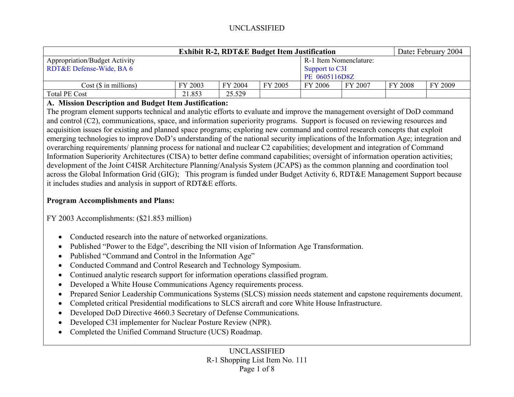| <b>Exhibit R-2, RDT&amp;E Budget Item Justification</b> |         |         |         |                        |         |         | Date: February 2004 |  |
|---------------------------------------------------------|---------|---------|---------|------------------------|---------|---------|---------------------|--|
| <b>Appropriation/Budget Activity</b>                    |         |         |         | R-1 Item Nomenclature: |         |         |                     |  |
| RDT&E Defense-Wide, BA 6                                |         |         |         | Support to C3I         |         |         |                     |  |
|                                                         |         |         |         | PE 0605116D8Z          |         |         |                     |  |
| Cost (\$ in millions)                                   | FY 2003 | FY 2004 | FY 2005 | FY 2006                | FY 2007 | FY 2008 | FY 2009             |  |
| <b>Total PE Cost</b>                                    | 21.853  | 25.529  |         |                        |         |         |                     |  |

#### **A. Mission Description and Budget Item Justification:**

The program element supports technical and analytic efforts to evaluate and improve the management oversight of DoD command and control (C2), communications, space, and information superiority programs. Support is focused on reviewing resources and acquisition issues for existing and planned space programs; exploring new command and control research concepts that exploit emerging technologies to improve DoD's understanding of the national security implications of the Information Age; integration and overarching requirements/ planning process for national and nuclear C2 capabilities; development and integration of Command Information Superiority Architectures (CISA) to better define command capabilities; oversight of information operation activities; development of the Joint C4ISR Architecture Planning/Analysis System (JCAPS) as the common planning and coordination tool across the Global Information Grid (GIG); This program is funded under Budget Activity 6, RDT&E Management Support because it includes studies and analysis in support of RDT&E efforts.

### **Program Accomplishments and Plans:**

FY 2003 Accomplishments: (\$21.853 million)

- •Conducted research into the nature of networked organizations.
- $\bullet$ Published "Power to the Edge", describing the NII vision of Information Age Transformation.
- •Published "Command and Control in the Information Age"
- •Conducted Command and Control Research and Technology Symposium.
- $\bullet$ Continued analytic research support for information operations classified program.
- •Developed a White House Communications Agency requirements process.
- •Prepared Senior Leadership Communications Systems (SLCS) mission needs statement and capstone requirements document.
- •Completed critical Presidential modifications to SLCS aircraft and core White House Infrastructure.
- •Developed DoD Directive 4660.3 Secretary of Defense Communications.
- •Developed C3I implementer for Nuclear Posture Review (NPR).
- •Completed the Unified Command Structure (UCS) Roadmap.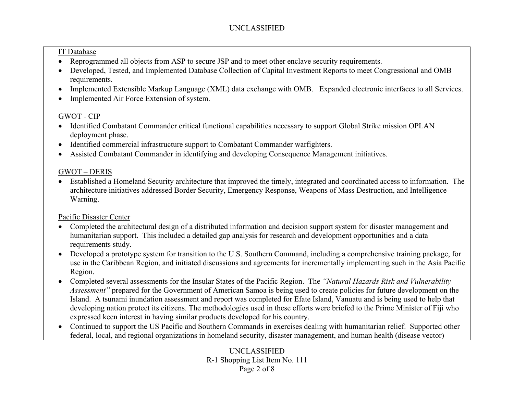#### IT Database

- $\bullet$ Reprogrammed all objects from ASP to secure JSP and to meet other enclave security requirements.
- $\bullet$  Developed, Tested, and Implemented Database Collection of Capital Investment Reports to meet Congressional and OMB requirements.
- •Implemented Extensible Markup Language (XML) data exchange with OMB. Expanded electronic interfaces to all Services.
- •Implemented Air Force Extension of system.

# GWOT - CIP

- Identified Combatant Commander critical functional capabilities necessary to support Global Strike mission OPLAN deployment phase.
- •Identified commercial infrastructure support to Combatant Commander warfighters.
- •Assisted Combatant Commander in identifying and developing Consequence Management initiatives.

# GWOT – DERIS

• Established a Homeland Security architecture that improved the timely, integrated and coordinated access to information. The architecture initiatives addressed Border Security, Emergency Response, Weapons of Mass Destruction, and Intelligence Warning.

# Pacific Disaster Center

- Completed the architectural design of a distributed information and decision support system for disaster management and humanitarian support. This included a detailed gap analysis for research and development opportunities and a data requirements study.
- Developed a prototype system for transition to the U.S. Southern Command, including a comprehensive training package, for use in the Caribbean Region, and initiated discussions and agreements for incrementally implementing such in the Asia Pacific Region.
- Completed several assessments for the Insular States of the Pacific Region. The *"Natural Hazards Risk and Vulnerability Assessment"* prepared for the Government of American Samoa is being used to create policies for future development on the Island. A tsunami inundation assessment and report was completed for Efate Island, Vanuatu and is being used to help that developing nation protect its citizens. The methodologies used in these efforts were briefed to the Prime Minister of Fiji who expressed keen interest in having similar products developed for his country.
- Continued to support the US Pacific and Southern Commands in exercises dealing with humanitarian relief. Supported other federal, local, and regional organizations in homeland security, disaster management, and human health (disease vector)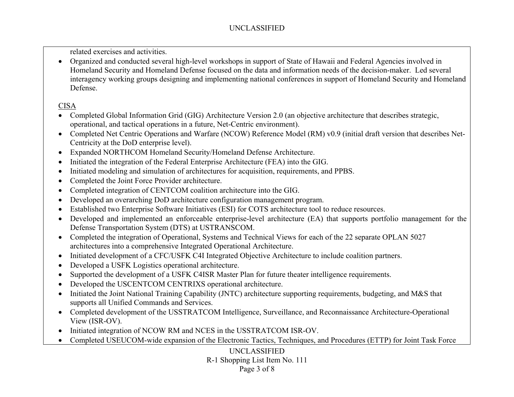related exercises and activities.

• Organized and conducted several high-level workshops in support of State of Hawaii and Federal Agencies involved in Homeland Security and Homeland Defense focused on the data and information needs of the decision-maker. Led several interagency working groups designing and implementing national conferences in support of Homeland Security and Homeland Defense.

## CISA

- Completed Global Information Grid (GIG) Architecture Version 2.0 (an objective architecture that describes strategic, operational, and tactical operations in a future, Net-Centric environment).
- Completed Net Centric Operations and Warfare (NCOW) Reference Model (RM) v0.9 (initial draft version that describes Net-Centricity at the DoD enterprise level).
- •Expanded NORTHCOM Homeland Security/Homeland Defense Architecture.
- •Initiated the integration of the Federal Enterprise Architecture (FEA) into the GIG.
- •Initiated modeling and simulation of architectures for acquisition, requirements, and PPBS.
- •Completed the Joint Force Provider architecture.
- $\bullet$ Completed integration of CENTCOM coalition architecture into the GIG.
- •Developed an overarching DoD architecture configuration management program.
- $\bullet$ Established two Enterprise Software Initiatives (ESI) for COTS architecture tool to reduce resources.
- $\bullet$  Developed and implemented an enforceable enterprise-level architecture (EA) that supports portfolio management for the Defense Transportation System (DTS) at USTRANSCOM.
- Completed the integration of Operational, Systems and Technical Views for each of the 22 separate OPLAN 5027 architectures into a comprehensive Integrated Operational Architecture.
- $\bullet$ Initiated development of a CFC/USFK C4I Integrated Objective Architecture to include coalition partners.
- •Developed a USFK Logistics operational architecture.
- •Supported the development of a USFK C4ISR Master Plan for future theater intelligence requirements.
- •Developed the USCENTCOM CENTRIXS operational architecture.
- • Initiated the Joint National Training Capability (JNTC) architecture supporting requirements, budgeting, and M&S that supports all Unified Commands and Services.
- Completed development of the USSTRATCOM Intelligence, Surveillance, and Reconnaissance Architecture-Operational View (ISR-OV).
- $\bullet$ Initiated integration of NCOW RM and NCES in the USSTRATCOM ISR-OV.
- $\bullet$ Completed USEUCOM-wide expansion of the Electronic Tactics, Techniques, and Procedures (ETTP) for Joint Task Force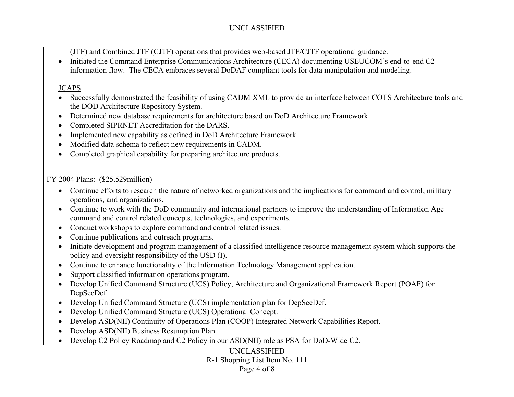(JTF) and Combined JTF (CJTF) operations that provides web-based JTF/CJTF operational guidance.

• Initiated the Command Enterprise Communications Architecture (CECA) documenting USEUCOM's end-to-end C2 information flow. The CECA embraces several DoDAF compliant tools for data manipulation and modeling.

## JCAPS

- $\bullet$  Successfully demonstrated the feasibility of using CADM XML to provide an interface between COTS Architecture tools and the DOD Architecture Repository System.
- •Determined new database requirements for architecture based on DoD Architecture Framework.
- •Completed SIPRNET Accreditation for the DARS.
- •Implemented new capability as defined in DoD Architecture Framework.
- •Modified data schema to reflect new requirements in CADM.
- •Completed graphical capability for preparing architecture products.

FY 2004 Plans: (\$25.529million)

- Continue efforts to research the nature of networked organizations and the implications for command and control, military operations, and organizations.
- Continue to work with the DoD community and international partners to improve the understanding of Information Age command and control related concepts, technologies, and experiments.
- $\bullet$ Conduct workshops to explore command and control related issues.
- •Continue publications and outreach programs.
- Initiate development and program management of a classified intelligence resource management system which supports the policy and oversight responsibility of the USD (I).
- •Continue to enhance functionality of the Information Technology Management application.
- •Support classified information operations program.
- Develop Unified Command Structure (UCS) Policy, Architecture and Organizational Framework Report (POAF) for DepSecDef.
- •Develop Unified Command Structure (UCS) implementation plan for DepSecDef.
- •Develop Unified Command Structure (UCS) Operational Concept.
- •Develop ASD(NII) Continuity of Operations Plan (COOP) Integrated Network Capabilities Report.
- •Develop ASD(NII) Business Resumption Plan.
- Develop C2 Policy Roadmap and C2 Policy in our ASD(NII) role as PSA for DoD-Wide C2.

UNCLASSIFIED R-1 Shopping List Item No. 111 Page 4 of 8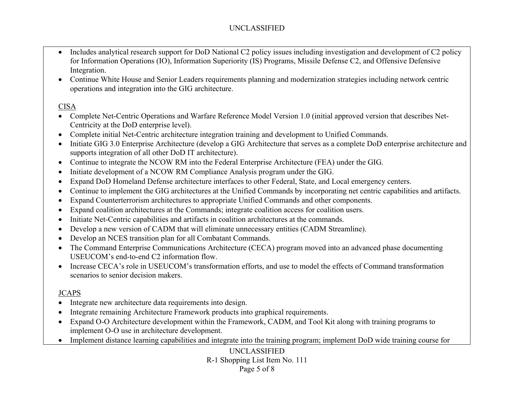- $\bullet$  Includes analytical research support for DoD National C2 policy issues including investigation and development of C2 policy for Information Operations (IO), Information Superiority (IS) Programs, Missile Defense C2, and Offensive Defensive Integration.
- Continue White House and Senior Leaders requirements planning and modernization strategies including network centric operations and integration into the GIG architecture.

### CISA

- Complete Net-Centric Operations and Warfare Reference Model Version 1.0 (initial approved version that describes Net-Centricity at the DoD enterprise level).
- $\bullet$ Complete initial Net-Centric architecture integration training and development to Unified Commands.
- $\bullet$  Initiate GIG 3.0 Enterprise Architecture (develop a GIG Architecture that serves as a complete DoD enterprise architecture and supports integration of all other DoD IT architecture).
- Continue to integrate the NCOW RM into the Federal Enterprise Architecture (FEA) under the GIG.
- •Initiate development of a NCOW RM Compliance Analysis program under the GIG.
- •Expand DoD Homeland Defense architecture interfaces to other Federal, State, and Local emergency centers.
- •Continue to implement the GIG architectures at the Unified Commands by incorporating net centric capabilities and artifacts.
- •Expand Counterterrorism architectures to appropriate Unified Commands and other components.
- •Expand coalition architectures at the Commands; integrate coalition access for coalition users.
- •Initiate Net-Centric capabilities and artifacts in coalition architectures at the commands.
- •Develop a new version of CADM that will eliminate unnecessary entities (CADM Streamline).
- •Develop an NCES transition plan for all Combatant Commands.
- • The Command Enterprise Communications Architecture (CECA) program moved into an advanced phase documenting USEUCOM's end-to-end C2 information flow.
- Increase CECA's role in USEUCOM's transformation efforts, and use to model the effects of Command transformation scenarios to senior decision makers.

## JCAPS

- $\bullet$ Integrate new architecture data requirements into design.
- •Integrate remaining Architecture Framework products into graphical requirements.
- • Expand O-O Architecture development within the Framework, CADM, and Tool Kit along with training programs to implement O-O use in architecture development.
- $\bullet$ Implement distance learning capabilities and integrate into the training program; implement DoD wide training course for

UNCLASSIFIED R-1 Shopping List Item No. 111 Page 5 of 8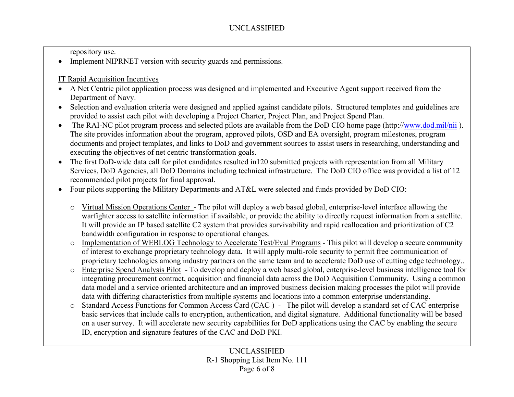repository use.

• Implement NIPRNET version with security guards and permissions.

IT Rapid Acquisition Incentives

- A Net Centric pilot application process was designed and implemented and Executive Agent support received from the Department of Navy.
- Selection and evaluation criteria were designed and applied against candidate pilots. Structured templates and guidelines are provided to assist each pilot with developing a Project Charter, Project Plan, and Project Spend Plan.
- The RAI-NC pilot program process and selected pilots are available from the DoD CIO home page (http://www.dod.mil/nii). The site provides information about the program, approved pilots, OSD and EA oversight, program milestones, program documents and project templates, and links to DoD and government sources to assist users in researching, understanding and executing the objectives of net centric transformation goals.
- The first DoD-wide data call for pilot candidates resulted in120 submitted projects with representation from all Military Services, DoD Agencies, all DoD Domains including technical infrastructure. The DoD CIO office was provided a list of 12 recommended pilot projects for final approval.
- $\bullet$  Four pilots supporting the Military Departments and AT&L were selected and funds provided by DoD CIO:
	- o Virtual Mission Operations Center The pilot will deploy a web based global, enterprise-level interface allowing the warfighter access to satellite information if available, or provide the ability to directly request information from a satellite. It will provide an IP based satellite C2 system that provides survivability and rapid reallocation and prioritization of C2 bandwidth configuration in response to operational changes.
	- o Implementation of WEBLOG Technology to Accelerate Test/Eval Programs This pilot will develop a secure community of interest to exchange proprietary technology data. It will apply multi-role security to permit free communication of proprietary technologies among industry partners on the same team and to accelerate DoD use of cutting edge technology..
	- o Enterprise Spend Analysis Pilot - To develop and deploy a web based global, enterprise-level business intelligence tool for integrating procurement contract, acquisition and financial data across the DoD Acquisition Community. Using a common data model and a service oriented architecture and an improved business decision making processes the pilot will provide data with differing characteristics from multiple systems and locations into a common enterprise understanding.
	- oStandard Access Functions for Common Access Card (CAC) - The pilot will develop a standard set of CAC enterprise basic services that include calls to encryption, authentication, and digital signature. Additional functionality will be based on a user survey. It will accelerate new security capabilities for DoD applications using the CAC by enabling the secure ID, encryption and signature features of the CAC and DoD PKI.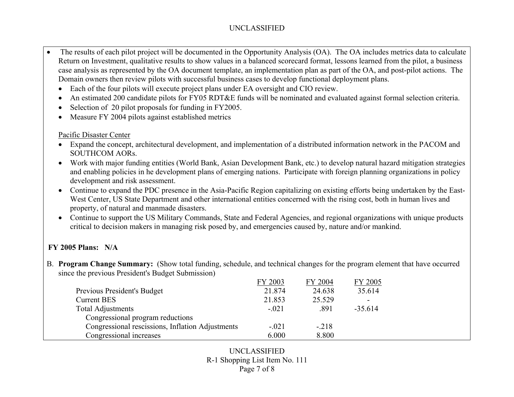- The results of each pilot project will be documented in the Opportunity Analysis (OA). The OA includes metrics data to calculate Return on Investment, qualitative results to show values in a balanced scorecard format, lessons learned from the pilot, a business case analysis as represented by the OA document template, an implementation plan as part of the OA, and post-pilot actions. The Domain owners then review pilots with successful business cases to develop functional deployment plans.
	- •Each of the four pilots will execute project plans under EA oversight and CIO review.
	- •An estimated 200 candidate pilots for FY05 RDT&E funds will be nominated and evaluated against formal selection criteria.
	- •Selection of 20 pilot proposals for funding in FY2005.
	- •Measure FY 2004 pilots against established metrics

#### Pacific Disaster Center

- Expand the concept, architectural development, and implementation of a distributed information network in the PACOM and SOUTHCOM AORs.
- Work with major funding entities (World Bank, Asian Development Bank, etc.) to develop natural hazard mitigation strategies and enabling policies in he development plans of emerging nations. Participate with foreign planning organizations in policy development and risk assessment.
- Continue to expand the PDC presence in the Asia-Pacific Region capitalizing on existing efforts being undertaken by the East-West Center, US State Department and other international entities concerned with the rising cost, both in human lives and property, of natural and manmade disasters.
- Continue to support the US Military Commands, State and Federal Agencies, and regional organizations with unique products critical to decision makers in managing risk posed by, and emergencies caused by, nature and/or mankind.

## **FY 2005 Plans: N/A**

B. **Program Change Summary:** (Show total funding, schedule, and technical changes for the program element that have occurred since the previous President's Budget Submission)

|                                                  | FY 2003 | FY 2004 | FY 2005   |
|--------------------------------------------------|---------|---------|-----------|
| Previous President's Budget                      | 21.874  | 24.638  | 35.614    |
| <b>Current BES</b>                               | 21.853  | 25.529  |           |
| <b>Total Adjustments</b>                         | $-.021$ | .891    | $-35.614$ |
| Congressional program reductions                 |         |         |           |
| Congressional rescissions, Inflation Adjustments | $-.021$ | $-.218$ |           |
| Congressional increases                          | 6.000   | 8.800   |           |

### UNCLASSIFIED R-1 Shopping List Item No. 111 Page 7 of 8